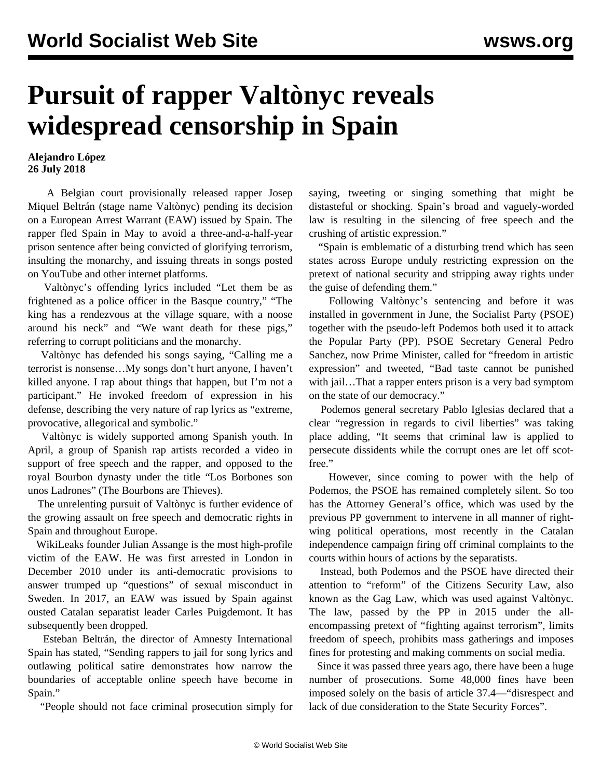## **Pursuit of rapper Valtònyc reveals widespread censorship in Spain**

## **Alejandro López 26 July 2018**

 A Belgian court provisionally released rapper Josep Miquel Beltrán (stage name Valtònyc) pending its decision on a European Arrest Warrant (EAW) issued by Spain. The rapper fled Spain in May to avoid a three-and-a-half-year prison sentence after being convicted of glorifying terrorism, insulting the monarchy, and issuing threats in songs posted on YouTube and other internet platforms.

 Valtònyc's offending lyrics included "Let them be as frightened as a police officer in the Basque country," "The king has a rendezvous at the village square, with a noose around his neck" and "We want death for these pigs," referring to corrupt politicians and the monarchy.

 Valtònyc has defended his songs saying, "Calling me a terrorist is nonsense…My songs don't hurt anyone, I haven't killed anyone. I rap about things that happen, but I'm not a participant." He invoked freedom of expression in his defense, describing the very nature of rap lyrics as "extreme, provocative, allegorical and symbolic."

 Valtònyc is widely supported among Spanish youth. In April, a group of Spanish rap artists recorded a video in support of free speech and the rapper, and opposed to the royal Bourbon dynasty under the title "Los Borbones son unos Ladrones" (The Bourbons are Thieves).

 The unrelenting pursuit of Valtònyc is further evidence of the growing assault on free speech and democratic rights in Spain and throughout Europe.

 WikiLeaks founder Julian Assange is the most high-profile victim of the EAW. He was first arrested in London in December 2010 under its anti-democratic provisions to answer trumped up "questions" of sexual misconduct in Sweden. In 2017, an EAW was issued by Spain against ousted Catalan separatist leader Carles Puigdemont. It has subsequently been dropped.

 Esteban Beltrán, the director of Amnesty International Spain has stated, "Sending rappers to jail for song lyrics and outlawing political satire demonstrates how narrow the boundaries of acceptable online speech have become in Spain."

"People should not face criminal prosecution simply for

saying, tweeting or singing something that might be distasteful or shocking. Spain's broad and vaguely-worded law is resulting in the silencing of free speech and the crushing of artistic expression."

 "Spain is emblematic of a disturbing trend which has seen states across Europe unduly restricting expression on the pretext of national security and stripping away rights under the guise of defending them."

 Following Valtònyc's sentencing and before it was installed in government in June, the Socialist Party (PSOE) together with the pseudo-left Podemos both used it to attack the Popular Party (PP). PSOE Secretary General Pedro Sanchez, now Prime Minister, called for "freedom in artistic expression" and tweeted, "Bad taste cannot be punished with jail…That a rapper enters prison is a very bad symptom on the state of our democracy."

 Podemos general secretary Pablo Iglesias declared that a clear "regression in regards to civil liberties" was taking place adding, "It seems that criminal law is applied to persecute dissidents while the corrupt ones are let off scotfree."

 However, since coming to power with the help of Podemos, the PSOE has remained completely silent. So too has the Attorney General's office, which was used by the previous PP government to intervene in all manner of rightwing political operations, most recently in the Catalan independence campaign firing off criminal complaints to the courts within hours of actions by the separatists.

 Instead, both Podemos and the PSOE have directed their attention to "reform" of the Citizens Security Law, also known as the Gag Law, which was used against Valtònyc. The law, passed by the PP in 2015 under the allencompassing pretext of "fighting against terrorism", limits freedom of speech, prohibits mass gatherings and imposes fines for protesting and making comments on social media.

 Since it was passed three years ago, there have been a huge number of prosecutions. Some 48,000 fines have been imposed solely on the basis of article 37.4—"disrespect and lack of due consideration to the State Security Forces".